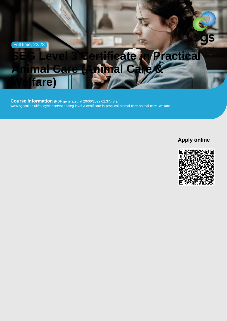Full time, 22/23

# SEG Level 3 Certificate in Practical Animal Care (Animal Care & Welfare)

Course information (PDF generated at 29/06/2022 02:37:48 am) [www.sgscol.ac.uk/study/conservation/seg-level-3-certificate-in-practical-animal-care-animal-care--welfare](https://www.sgscol.ac.uk/study/conservation/seg-level-3-certificate-in-practical-animal-care-animal-care--welfare)

Apply online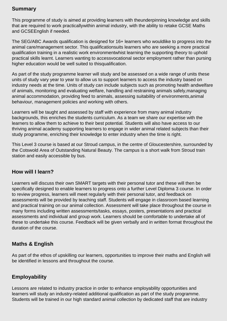## **Summary**

This programme of study is aimed at providing learners with theunderpinning knowledge and skills that are required to work practicallywithin animal industry, with the ability to retake GCSE Maths and GCSEEnglish if needed.

The SEG/ABC Awards qualification is designed for 16+ learners who wouldlike to progress into the animal care/management sector. This qualificationsuits learners who are seeking a more practical qualification training in a realistic work environmentwhist learning the supporting theory to uphold practical skills learnt. Learners wanting to accessvocational sector employment rather than pursing higher education would be well suited to thisqualification.

As part of the study programme learner will study and be assessed on a wide range of units these units of study vary year to year to allow us to support learners to access the industry based on industry needs at the time. Units of study can include subjects such as promoting health andwelfare of animals, monitoring and evaluating welfare, handling and restraining animals safely,managing animal accommodation, providing feed to animals, assessing suitability of environments,animal behaviour, management policies and working with others.

Learners will be taught and assessed by staff with experience from many animal industry backgrounds, this enriches the students curriculum. As a team we share our expertise with the learners to allow them to achieve to their best potential. Students will also have access to our thriving animal academy supporting learners to engage in wider animal related subjects than their study programme, enriching their knowledge to enter industry when the time is right.

This Level 3 course is based at our Stroud campus, in the centre of Gloucestershire, surrounded by the Cotswold Area of Outstanding Natural Beauty. The campus is a short walk from Stroud train station and easily accessible by bus.

## **How will I learn?**

Learners will discuss their own SMART targets with their personal tutor and these will then be specifically designed to enable learners to progress onto a further Level Diploma 3 course. In order to review progress, learners will meet regularly with their personal tutor, and feedback on assessments will be provided by teaching staff. Students will engage in classroom based learning and practical training on our animal collection. Assessment will take place throughout the course in many forms including written assessments/tasks, essays, posters, presentations and practical assessments and individual and group work. Learners should be comfortable to undertake all of these to undertake this course. Feedback will be given verbally and in written format throughout the duration of the course.

## **Maths & English**

As part of the ethos of upskilling our learners, opportunities to improve their maths and English will be identified in lessons and throughout the course.

## **Employability**

Lessons are related to industry practice in order to enhance employability opportunities and learners will study an industry-related additional qualification as part of the study programme. Students will be trained in our high standard animal collection by dedicated staff that are industry